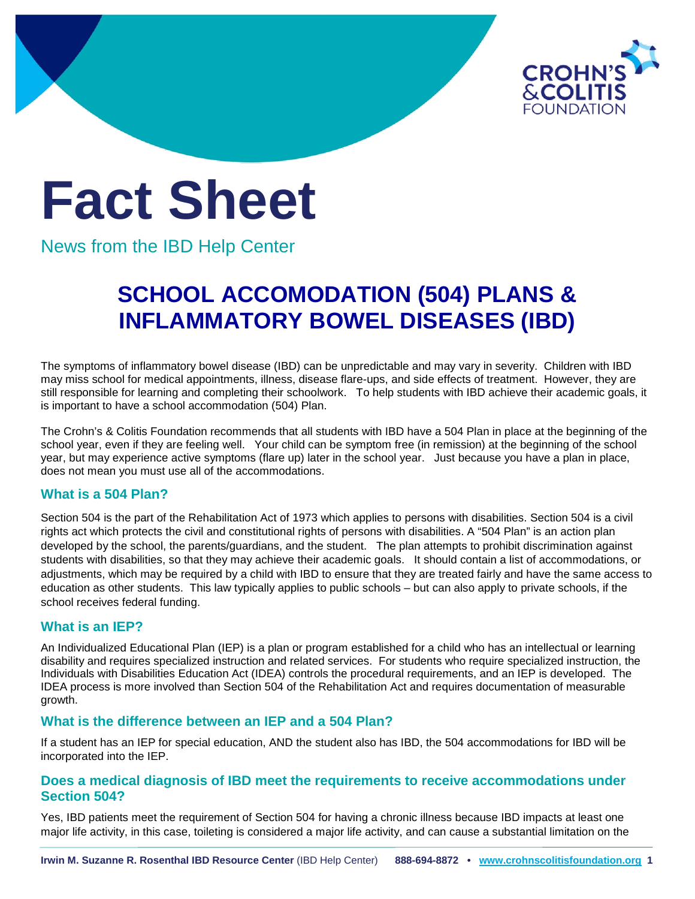

# **Fact Sheet**

News from the IBD Help Center

# **SCHOOL ACCOMODATION (504) PLANS & INFLAMMATORY BOWEL DISEASES (IBD)**

The symptoms of inflammatory bowel disease (IBD) can be unpredictable and may vary in severity. Children with IBD may miss school for medical appointments, illness, disease flare-ups, and side effects of treatment. However, they are still responsible for learning and completing their schoolwork. To help students with IBD achieve their academic goals, it is important to have a school accommodation (504) Plan.

The Crohn's & Colitis Foundation recommends that all students with IBD have a 504 Plan in place at the beginning of the school year, even if they are feeling well. Your child can be symptom free (in remission) at the beginning of the school year, but may experience active symptoms (flare up) later in the school year. Just because you have a plan in place, does not mean you must use all of the accommodations.

## **What is a 504 Plan?**

Section 504 is the part of the Rehabilitation Act of 1973 which applies to persons with disabilities. Section 504 is a civil rights act which protects the civil and constitutional rights of persons with disabilities. A "504 Plan" is an action plan developed by the school, the parents/guardians, and the student. The plan attempts to prohibit discrimination against students with disabilities, so that they may achieve their academic goals. It should contain a list of accommodations, or adjustments, which may be required by a child with IBD to ensure that they are treated fairly and have the same access to education as other students. This law typically applies to public schools – but can also apply to private schools, if the school receives federal funding.

## **What is an IEP?**

An Individualized Educational Plan (IEP) is a plan or program established for a child who has an intellectual or learning disability and requires specialized instruction and related services. For students who require specialized instruction, the Individuals with Disabilities Education Act (IDEA) controls the procedural requirements, and an IEP is developed. The IDEA process is more involved than Section 504 of the Rehabilitation Act and requires documentation of measurable growth.

## **What is the difference between an IEP and a 504 Plan?**

If a student has an IEP for special education, AND the student also has IBD, the 504 accommodations for IBD will be incorporated into the IEP.

#### **Does a medical diagnosis of IBD meet the requirements to receive accommodations under Section 504?**

Yes, IBD patients meet the requirement of Section 504 for having a chronic illness because IBD impacts at least one major life activity, in this case, toileting is considered a major life activity, and can cause a substantial limitation on the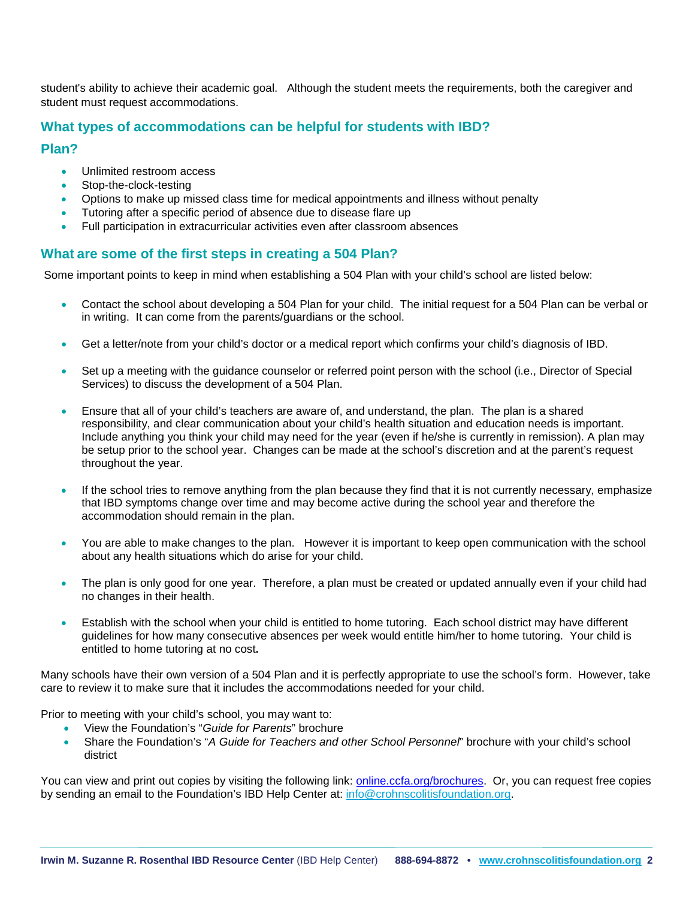student's ability to achieve their academic goal. Although the student meets the requirements, both the caregiver and student must request accommodations.

#### **What types of accommodations can be helpful for students with IBD?**

#### **Plan?**

- Unlimited restroom access
- Stop-the-clock-testing
- Options to make up missed class time for medical appointments and illness without penalty
- Tutoring after a specific period of absence due to disease flare up
- Full participation in extracurricular activities even after classroom absences

#### **What are some of the first steps in creating a 504 Plan?**

Some important points to keep in mind when establishing a 504 Plan with your child's school are listed below:

- Contact the school about developing a 504 Plan for your child. The initial request for a 504 Plan can be verbal or in writing. It can come from the parents/guardians or the school.
- Get a letter/note from your child's doctor or a medical report which confirms your child's diagnosis of IBD.
- Set up a meeting with the guidance counselor or referred point person with the school (i.e., Director of Special Services) to discuss the development of a 504 Plan.
- Ensure that all of your child's teachers are aware of, and understand, the plan. The plan is a shared responsibility, and clear communication about your child's health situation and education needs is important. Include anything you think your child may need for the year (even if he/she is currently in remission). A plan may be setup prior to the school year. Changes can be made at the school's discretion and at the parent's request throughout the year.
- If the school tries to remove anything from the plan because they find that it is not currently necessary, emphasize that IBD symptoms change over time and may become active during the school year and therefore the accommodation should remain in the plan.
- You are able to make changes to the plan. However it is important to keep open communication with the school about any health situations which do arise for your child.
- The plan is only good for one year. Therefore, a plan must be created or updated annually even if your child had no changes in their health.
- Establish with the school when your child is entitled to home tutoring. Each school district may have different guidelines for how many consecutive absences per week would entitle him/her to home tutoring. Your child is entitled to home tutoring at no cost**.**

Many schools have their own version of a 504 Plan and it is perfectly appropriate to use the school's form. However, take care to review it to make sure that it includes the accommodations needed for your child.

Prior to meeting with your child's school, you may want to:

- View the Foundation's "*Guide for Parents*" brochure
- Share the Foundation's "*A Guide for Teachers and other School Personnel*" brochure with your child's school district

You can view and print out copies by visiting the following link: [online.ccfa.org/brochures.](http://www.ccfa.org/science-and-professionals/programs-materials/patient-brochures/) Or, you can request free copies by sending an email to the Foundation's IBD Help Center at: [info@crohnscolitisfoundation.org.](mailto:info@crohnscolitisfoundation.org)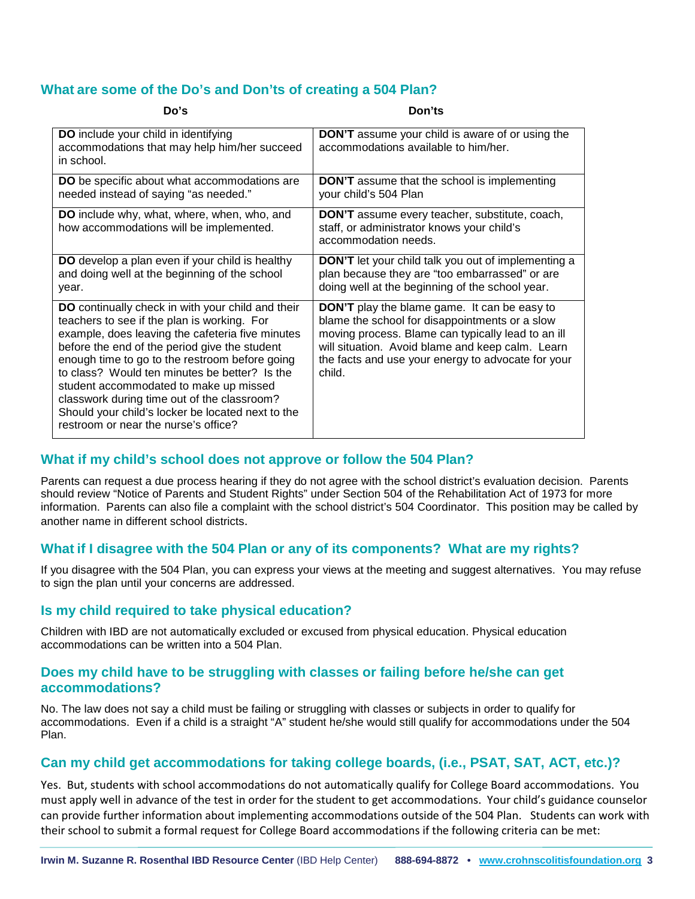#### **What are some of the Do's and Don'ts of creating a 504 Plan?**

| Do's                                                                                                                                                                                                                                                                                                                                                                                                                                                                                           | Don'ts                                                                                                                                                                                                                                                                          |
|------------------------------------------------------------------------------------------------------------------------------------------------------------------------------------------------------------------------------------------------------------------------------------------------------------------------------------------------------------------------------------------------------------------------------------------------------------------------------------------------|---------------------------------------------------------------------------------------------------------------------------------------------------------------------------------------------------------------------------------------------------------------------------------|
| DO include your child in identifying<br>accommodations that may help him/her succeed<br>in school.                                                                                                                                                                                                                                                                                                                                                                                             | <b>DON'T</b> assume your child is aware of or using the<br>accommodations available to him/her.                                                                                                                                                                                 |
| DO be specific about what accommodations are<br>needed instead of saying "as needed."                                                                                                                                                                                                                                                                                                                                                                                                          | <b>DON'T</b> assume that the school is implementing<br>your child's 504 Plan                                                                                                                                                                                                    |
| DO include why, what, where, when, who, and<br>how accommodations will be implemented.                                                                                                                                                                                                                                                                                                                                                                                                         | <b>DON'T</b> assume every teacher, substitute, coach,<br>staff, or administrator knows your child's<br>accommodation needs.                                                                                                                                                     |
| DO develop a plan even if your child is healthy<br>and doing well at the beginning of the school<br>year.                                                                                                                                                                                                                                                                                                                                                                                      | <b>DON'T</b> let your child talk you out of implementing a<br>plan because they are "too embarrassed" or are<br>doing well at the beginning of the school year.                                                                                                                 |
| DO continually check in with your child and their<br>teachers to see if the plan is working. For<br>example, does leaving the cafeteria five minutes<br>before the end of the period give the student<br>enough time to go to the restroom before going<br>to class? Would ten minutes be better? Is the<br>student accommodated to make up missed<br>classwork during time out of the classroom?<br>Should your child's locker be located next to the<br>restroom or near the nurse's office? | <b>DON'T</b> play the blame game. It can be easy to<br>blame the school for disappointments or a slow<br>moving process. Blame can typically lead to an ill<br>will situation. Avoid blame and keep calm. Learn<br>the facts and use your energy to advocate for your<br>child. |

#### **What if my child's school does not approve or follow the 504 Plan?**

Parents can request a due process hearing if they do not agree with the school district's evaluation decision. Parents should review "Notice of Parents and Student Rights" under Section 504 of the Rehabilitation Act of 1973 for more information. Parents can also file a complaint with the school district's 504 Coordinator. This position may be called by another name in different school districts.

#### **What if I disagree with the 504 Plan or any of its components? What are my rights?**

If you disagree with the 504 Plan, you can express your views at the meeting and suggest alternatives. You may refuse to sign the plan until your concerns are addressed.

#### **Is my child required to take physical education?**

Children with IBD are not automatically excluded or excused from physical education. Physical education accommodations can be written into a 504 Plan.

#### **Does my child have to be struggling with classes or failing before he/she can get accommodations?**

No. The law does not say a child must be failing or struggling with classes or subjects in order to qualify for accommodations. Even if a child is a straight "A" student he/she would still qualify for accommodations under the 504 Plan.

## **Can my child get accommodations for taking college boards, (i.e., PSAT, SAT, ACT, etc.)?**

Yes. But, students with school accommodations do not automatically qualify for College Board accommodations. You must apply well in advance of the test in order for the student to get accommodations. Your child's guidance counselor can provide further information about implementing accommodations outside of the 504 Plan. Students can work with their school to submit a formal request for College Board accommodations if the following criteria can be met: